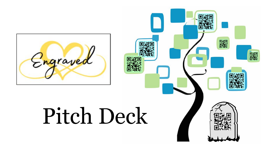

# Pitch Deck

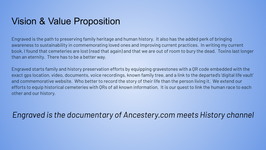#### Vision & Value Proposition

Engraved is the path to preserving family heritage and human history. It also has the added perk of bringing awareness to sustainability in commemorating loved ones and improving current practices. In writing my current book, I found that cemeteries are lost (read that again) and that we are out of room to bury the dead. Toxins last longer than an eternity. There has to be a better way.

Engraved starts family and history preservation efforts by equipping gravestones with a QR code embedded with the exact gps location, video, documents, voice recordings, known family tree, and a link to the departed's 'digital life vault' and commemorative website. Who better to record the story of their life than the person living it. We extend our efforts to equip historical cemeteries with QRs of all known information. It is our quest to link the human race to each other and our history.

#### *Engraved is the documentary of Ancestery.com meets History channel*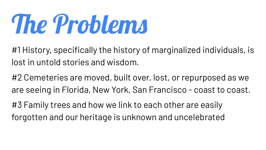# The Problems

#1 History, specifically the history of marginalized individuals, is lost in untold stories and wisdom.

#2 Cemeteries are moved, built over, lost, or repurposed as we are seeing in Florida, New York, San Francisco - coast to coast.

#3 Family trees and how we link to each other are easily forgotten and our heritage is unknown and uncelebrated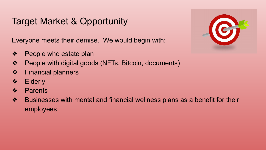### Target Market & Opportunity

Everyone meets their demise. We would begin with:

- ❖ People who estate plan
- ❖ People with digital goods (NFTs, Bitcoin, documents)
- ❖ Financial planners
- ❖ Elderly
- ❖ Parents
- ❖ Businesses with mental and financial wellness plans as a benefit for their employees

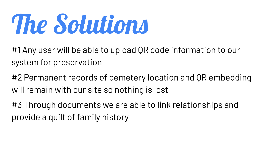# The Solutions

#1 Any user will be able to upload QR code information to our system for preservation

#2 Permanent records of cemetery location and QR embedding will remain with our site so nothing is lost

#3 Through documents we are able to link relationships and provide a quilt of family history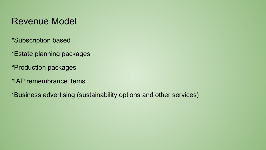#### Revenue Model

- \*Subscription based
- \*Estate planning packages
- \*Production packages
- \*IAP remembrance items
- \*Business advertising (sustainability options and other services)